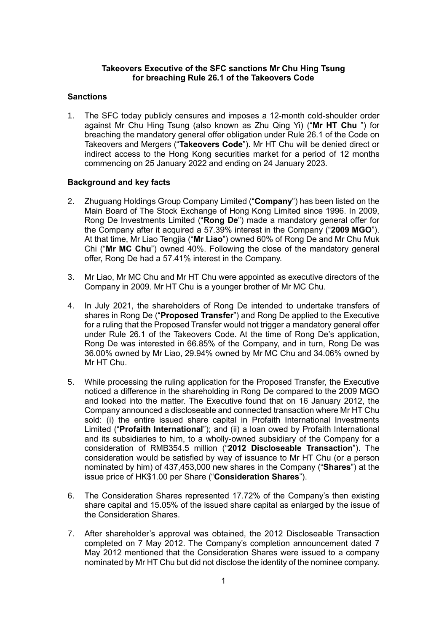## **Takeovers Executive of the SFC sanctions Mr Chu Hing Tsung for breaching Rule 26.1 of the Takeovers Code**

## **Sanctions**

1. The SFC today publicly censures and imposes a 12-month cold-shoulder order against Mr Chu Hing Tsung (also known as Zhu Qing Yi) ("**Mr HT Chu** ") for breaching the mandatory general offer obligation under Rule 26.1 of the Code on Takeovers and Mergers ("**Takeovers Code**"). Mr HT Chu will be denied direct or indirect access to the Hong Kong securities market for a period of 12 months commencing on 25 January 2022 and ending on 24 January 2023.

## **Background and key facts**

- 2. Zhuguang Holdings Group Company Limited ("**Company**") has been listed on the Main Board of The Stock Exchange of Hong Kong Limited since 1996. In 2009, Rong De Investments Limited ("**Rong De**") made a mandatory general offer for the Company after it acquired a 57.39% interest in the Company ("**2009 MGO**"). At that time, Mr Liao Tengjia ("**Mr Liao**") owned 60% of Rong De and Mr Chu Muk Chi ("**Mr MC Chu**") owned 40%. Following the close of the mandatory general offer, Rong De had a 57.41% interest in the Company.
- 3. Mr Liao, Mr MC Chu and Mr HT Chu were appointed as executive directors of the Company in 2009. Mr HT Chu is a younger brother of Mr MC Chu.
- 4. In July 2021, the shareholders of Rong De intended to undertake transfers of shares in Rong De ("**Proposed Transfer**") and Rong De applied to the Executive for a ruling that the Proposed Transfer would not trigger a mandatory general offer under Rule 26.1 of the Takeovers Code. At the time of Rong De's application, Rong De was interested in 66.85% of the Company, and in turn, Rong De was 36.00% owned by Mr Liao, 29.94% owned by Mr MC Chu and 34.06% owned by Mr HT Chu.
- 5. While processing the ruling application for the Proposed Transfer, the Executive noticed a difference in the shareholding in Rong De compared to the 2009 MGO and looked into the matter. The Executive found that on 16 January 2012, the Company announced a discloseable and connected transaction where Mr HT Chu sold: (i) the entire issued share capital in Profaith International Investments Limited ("**Profaith International**"); and (ii) a loan owed by Profaith International and its subsidiaries to him, to a wholly-owned subsidiary of the Company for a consideration of RMB354.5 million ("**2012 Discloseable Transaction**"). The consideration would be satisfied by way of issuance to Mr HT Chu (or a person nominated by him) of 437,453,000 new shares in the Company ("**Shares**") at the issue price of HK\$1.00 per Share ("**Consideration Shares**").
- 6. The Consideration Shares represented 17.72% of the Company's then existing share capital and 15.05% of the issued share capital as enlarged by the issue of the Consideration Shares.
- 7. After shareholder's approval was obtained, the 2012 Discloseable Transaction completed on 7 May 2012. The Company's completion announcement dated 7 May 2012 mentioned that the Consideration Shares were issued to a company nominated by Mr HT Chu but did not disclose the identity of the nominee company.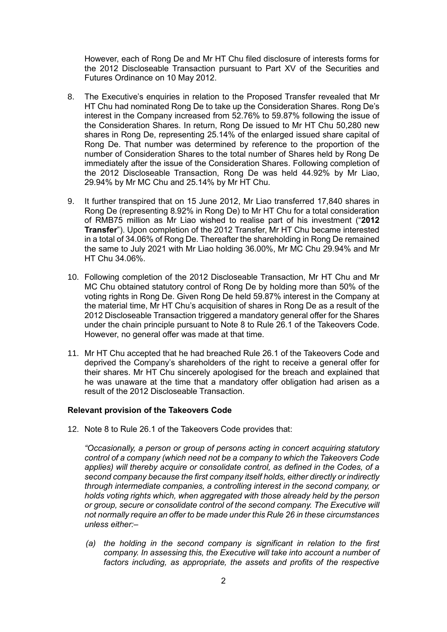However, each of Rong De and Mr HT Chu filed disclosure of interests forms for the 2012 Discloseable Transaction pursuant to Part XV of the Securities and Futures Ordinance on 10 May 2012.

- 8. The Executive's enquiries in relation to the Proposed Transfer revealed that Mr HT Chu had nominated Rong De to take up the Consideration Shares. Rong De's interest in the Company increased from 52.76% to 59.87% following the issue of the Consideration Shares. In return, Rong De issued to Mr HT Chu 50,280 new shares in Rong De, representing 25.14% of the enlarged issued share capital of Rong De. That number was determined by reference to the proportion of the number of Consideration Shares to the total number of Shares held by Rong De immediately after the issue of the Consideration Shares. Following completion of the 2012 Discloseable Transaction, Rong De was held 44.92% by Mr Liao, 29.94% by Mr MC Chu and 25.14% by Mr HT Chu.
- 9. It further transpired that on 15 June 2012, Mr Liao transferred 17,840 shares in Rong De (representing 8.92% in Rong De) to Mr HT Chu for a total consideration of RMB75 million as Mr Liao wished to realise part of his investment ("**2012 Transfer**"). Upon completion of the 2012 Transfer, Mr HT Chu became interested in a total of 34.06% of Rong De. Thereafter the shareholding in Rong De remained the same to July 2021 with Mr Liao holding 36.00%, Mr MC Chu 29.94% and Mr HT Chu 34.06%.
- 10. Following completion of the 2012 Discloseable Transaction, Mr HT Chu and Mr MC Chu obtained statutory control of Rong De by holding more than 50% of the voting rights in Rong De. Given Rong De held 59.87% interest in the Company at the material time, Mr HT Chu's acquisition of shares in Rong De as a result of the 2012 Discloseable Transaction triggered a mandatory general offer for the Shares under the chain principle pursuant to Note 8 to Rule 26.1 of the Takeovers Code. However, no general offer was made at that time.
- 11. Mr HT Chu accepted that he had breached Rule 26.1 of the Takeovers Code and deprived the Company's shareholders of the right to receive a general offer for their shares. Mr HT Chu sincerely apologised for the breach and explained that he was unaware at the time that a mandatory offer obligation had arisen as a result of the 2012 Discloseable Transaction.

### **Relevant provision of the Takeovers Code**

12. Note 8 to Rule 26.1 of the Takeovers Code provides that:

*"Occasionally, a person or group of persons acting in concert acquiring statutory control of a company (which need not be a company to which the Takeovers Code applies) will thereby acquire or consolidate control, as defined in the Codes, of a second company because the first company itself holds, either directly or indirectly through intermediate companies, a controlling interest in the second company, or holds voting rights which, when aggregated with those already held by the person or group, secure or consolidate control of the second company. The Executive will not normally require an offer to be made under this Rule 26 in these circumstances unless either:–*

*(a) the holding in the second company is significant in relation to the first company. In assessing this, the Executive will take into account a number of*  factors including, as appropriate, the assets and profits of the respective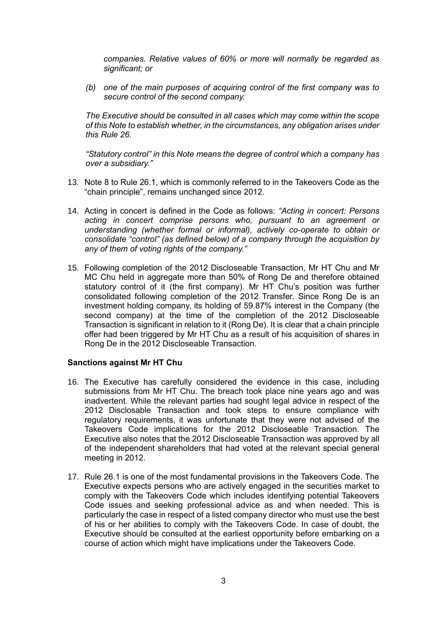*companies. Relative values of 60% or more will normally be regarded as significant; or* 

*(b) one of the main purposes of acquiring control of the first company was to secure control of the second company.* 

*The Executive should be consulted in all cases which may come within the scope of this Note to establish whether, in the circumstances, any obligation arises under this Rule 26.* 

*"Statutory control" in this Note means the degree of control which a company has over a subsidiary."*

- 13. Note 8 to Rule 26.1, which is commonly referred to in the Takeovers Code as the "chain principle", remains unchanged since 2012.
- 14. Acting in concert is defined in the Code as follows: *"Acting in concert: Persons acting in concert comprise persons who, pursuant to an agreement or understanding (whether formal or informal), actively co-operate to obtain or consolidate "control" (as defined below) of a company through the acquisition by any of them of voting rights of the company."*
- 15. Following completion of the 2012 Discloseable Transaction, Mr HT Chu and Mr MC Chu held in aggregate more than 50% of Rong De and therefore obtained statutory control of it (the first company). Mr HT Chu's position was further consolidated following completion of the 2012 Transfer. Since Rong De is an investment holding company, its holding of 59.87% interest in the Company (the second company) at the time of the completion of the 2012 Discloseable Transaction is significant in relation to it (Rong De). It is clear that a chain principle offer had been triggered by Mr HT Chu as a result of his acquisition of shares in Rong De in the 2012 Discloseable Transaction.

#### **Sanctions against Mr HT Chu**

- 16. The Executive has carefully considered the evidence in this case, including submissions from Mr HT Chu. The breach took place nine years ago and was inadvertent. While the relevant parties had sought legal advice in respect of the 2012 Disclosable Transaction and took steps to ensure compliance with regulatory requirements, it was unfortunate that they were not advised of the Takeovers Code implications for the 2012 Discloseable Transaction. The Executive also notes that the 2012 Discloseable Transaction was approved by all of the independent shareholders that had voted at the relevant special general meeting in 2012.
- 17. Rule 26.1 is one of the most fundamental provisions in the Takeovers Code. The Executive expects persons who are actively engaged in the securities market to comply with the Takeovers Code which includes identifying potential Takeovers Code issues and seeking professional advice as and when needed. This is particularly the case in respect of a listed company director who must use the best of his or her abilities to comply with the Takeovers Code. In case of doubt, the Executive should be consulted at the earliest opportunity before embarking on a course of action which might have implications under the Takeovers Code.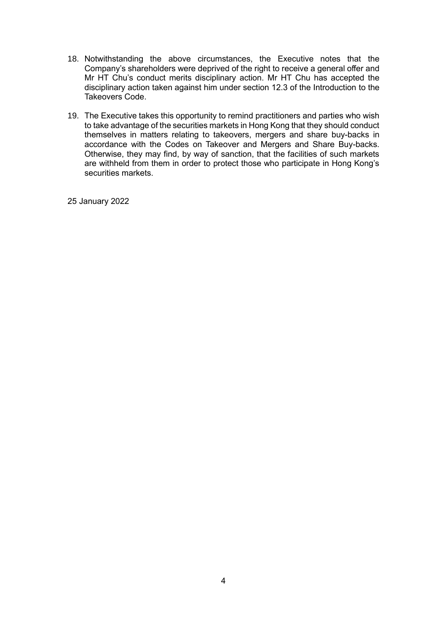- 18. Notwithstanding the above circumstances, the Executive notes that the Company's shareholders were deprived of the right to receive a general offer and Mr HT Chu's conduct merits disciplinary action. Mr HT Chu has accepted the disciplinary action taken against him under section 12.3 of the Introduction to the Takeovers Code.
- 19. The Executive takes this opportunity to remind practitioners and parties who wish to take advantage of the securities markets in Hong Kong that they should conduct themselves in matters relating to takeovers, mergers and share buy-backs in accordance with the Codes on Takeover and Mergers and Share Buy-backs. Otherwise, they may find, by way of sanction, that the facilities of such markets are withheld from them in order to protect those who participate in Hong Kong's securities markets.

25 January 2022